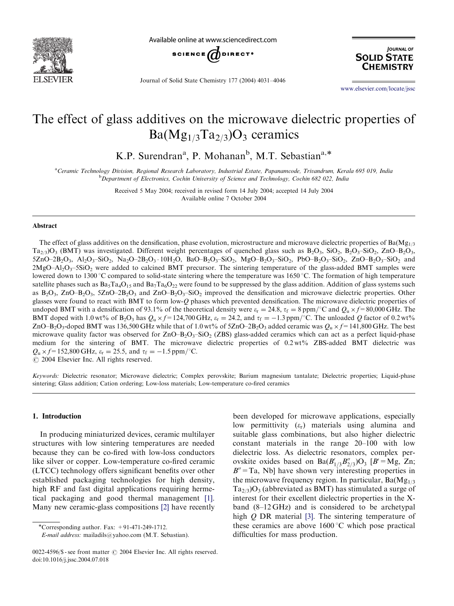

Available online at www.sciencedirect.com



Journal of Solid State Chemistry 177 (2004) 4031–4046

**JOURNAL OF SOLID STATE CHEMISTRY** 

<www.elsevier.com/locate/jssc>

# The effect of glass additives on the microwave dielectric properties of  $Ba(Mg_{1/3}Ta_{2/3})O_3$  ceramics

K.P. Surendran<sup>a</sup>, P. Mohanan<sup>b</sup>, M.T. Sebastian<sup>a,\*</sup>

a Ceramic Technology Division, Regional Research Laboratory, Industrial Estate, Papanamcode, Trivandrum, Kerala 695 019, India **b** Department of Electronics, Cochin University of Science and Technology, Cochin 682 022, India

> Received 5 May 2004; received in revised form 14 July 2004; accepted 14 July 2004 Available online 7 October 2004

#### Abstract

The effect of glass additives on the densification, phase evolution, microstructure and microwave dielectric properties of  $Ba(Mg<sub>1/3</sub>)$  $Ta_{2/3}$ O<sub>3</sub> (BMT) was investigated. Different weight percentages of quenched glass such as B<sub>2</sub>O<sub>3</sub>, SiO<sub>2</sub>, B<sub>2</sub>O<sub>3</sub>–SiO<sub>2</sub>, ZnO–B<sub>2</sub>O<sub>3</sub>,  $5ZnO-2B_2O_3$ ,  $Al_2O_3-SiO_2$ ,  $Na_2O-2B_2O_3 \cdot 10H_2O$ ,  $BaO-B_2O_3-SiO_2$ ,  $MgO-B_2O_3-SiO_2$ ,  $PbO-B_2O_3-SiO_2$ ,  $ZnO-B_2O_3-SiO_2$  and  $2MgO-Al<sub>2</sub>O<sub>3</sub>$ –5SiO<sub>2</sub> were added to calcined BMT precursor. The sintering temperature of the glass-added BMT samples were lowered down to 1300 °C compared to solid-state sintering where the temperature was 1650 °C. The formation of high temperature satellite phases such as  $Ba_5Ta_4O_{15}$  and  $Ba_7Ta_6O_{22}$  were found to be suppressed by the glass addition. Addition of glass systems such as  $B_2O_3$ , ZnO–B<sub>2</sub>O<sub>3</sub>, 5ZnO–2B<sub>2</sub>O<sub>3</sub> and ZnO–B<sub>2</sub>O<sub>3</sub>–SiO<sub>2</sub> improved the densification and microwave dielectric properties. Other glasses were found to react with BMT to form low-Q phases which prevented densification. The microwave dielectric properties of undoped BMT with a densification of 93.1% of the theoretical density were  $\varepsilon_r = 24.8$ ,  $\tau_f = 8$  ppm/°C and  $Q_u \times f = 80,000$  GHz. The BMT doped with 1.0 wt% of B<sub>2</sub>O<sub>3</sub> has  $Q_u \times f = 124,700$  GHz,  $\varepsilon_r = 24.2$ , and  $\tau_f = -1.3$  ppm/°C. The unloaded Q factor of 0.2 wt% ZnO–B<sub>2</sub>O<sub>3</sub>-doped BMT was 136,500 GHz while that of 1.0 wt% of 5ZnO–2B<sub>2</sub>O<sub>3</sub> added ceramic was  $Q_u \times f=141,800$  GHz. The best microwave quality factor was observed for  $ZnO-B_2O_3-SiO_2$  (ZBS) glass-added ceramics which can act as a perfect liquid-phase medium for the sintering of BMT. The microwave dielectric properties of 0.2 wt% ZBS-added BMT dielectric was  $Q_{\rm u} \times f = 152,800 \,\mathrm{GHz}$ ,  $\varepsilon_{\rm r} = 25.5$ , and  $\tau_{\rm f} = -1.5 \,\mathrm{ppm}/^{\circ}\mathrm{C}$ .

 $O$  2004 Elsevier Inc. All rights reserved.

Keywords: Dielectric resonator; Microwave dielectric; Complex perovskite; Barium magnesium tantalate; Dielectric properties; Liquid-phase sintering; Glass addition; Cation ordering; Low-loss materials; Low-temperature co-fired ceramics

# 1. Introduction

In producing miniaturized devices, ceramic multilayer structures with low sintering temperatures are needed because they can be co-fired with low-loss conductors like silver or copper. Low-temperature co-fired ceramic (LTCC) technology offers significant benefits over other established packaging technologies for high density, high RF and fast digital applications requiring hermetical packaging and good thermal management [\[1\].](#page-15-0) Many new ceramic-glass compositions [\[2\]](#page-15-0) have recently

\*Corresponding author. Fax:  $+91-471-249-1712$ .

been developed for microwave applications, especially low permittivity  $(\varepsilon_r)$  materials using alumina and suitable glass combinations, but also higher dielectric constant materials in the range 20–100 with low dielectric loss. As dielectric resonators, complex perovskite oxides based on  $Ba(B'_{1/3}B''_{2/3})O_3$  [B' = Mg, Zn;  $B'' = Ta$ , Nb] have shown very interesting properties in the microwave frequency region. In particular,  $Ba(Mg_{1/3})$  $Ta_{2/3}$ ) $O_3$  (abbreviated as BMT) has stimulated a surge of interest for their excellent dielectric properties in the Xband (8–12 GHz) and is considered to be archetypal high Q DR material [\[3\].](#page-15-0) The sintering temperature of these ceramics are above  $1600^{\circ}$ C which pose practical difficulties for mass production.

E-mail address: mailadils@yahoo.com (M.T. Sebastian).

<sup>0022-4596/\$ -</sup> see front matter  $\odot$  2004 Elsevier Inc. All rights reserved. doi:10.1016/j.jssc.2004.07.018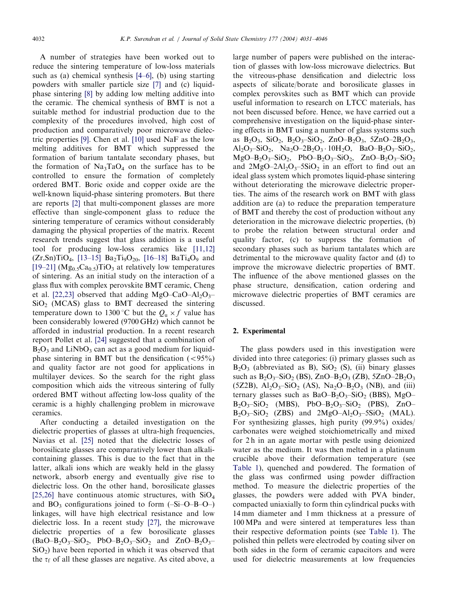A number of strategies have been worked out to reduce the sintering temperature of low-loss materials such as (a) chemical synthesis [\[4–6\],](#page-15-0) (b) using starting powders with smaller particle size [\[7\]](#page-15-0) and (c) liquidphase sintering [\[8\]](#page-15-0) by adding low melting additive into the ceramic. The chemical synthesis of BMT is not a suitable method for industrial production due to the complexity of the procedures involved, high cost of production and comparatively poor microwave dielectric properties [\[9\].](#page-15-0) Chen et al. [\[10\]](#page-15-0) used NaF as the low melting additives for BMT which suppressed the formation of barium tantalate secondary phases, but the formation of  $Na<sub>3</sub>TaO<sub>4</sub>$  on the surface has to be controlled to ensure the formation of completely ordered BMT. Boric oxide and copper oxide are the well-known liquid-phase sintering promoters. But there are reports [\[2\]](#page-15-0) that multi-component glasses are more effective than single-component glass to reduce the sintering temperature of ceramics without considerably damaging the physical properties of the matrix. Recent research trends suggest that glass addition is a useful tool for producing low-loss ceramics like [\[11,12\]](#page-15-0)  $(Zr,Sn)TiO<sub>4</sub>, [13–15] Ba<sub>2</sub>Ti<sub>9</sub>O<sub>20</sub>, [16–18] BaTi<sub>4</sub>O<sub>9</sub> and$  $(Zr,Sn)TiO<sub>4</sub>, [13–15] Ba<sub>2</sub>Ti<sub>9</sub>O<sub>20</sub>, [16–18] BaTi<sub>4</sub>O<sub>9</sub> and$  $(Zr,Sn)TiO<sub>4</sub>, [13–15] Ba<sub>2</sub>Ti<sub>9</sub>O<sub>20</sub>, [16–18] BaTi<sub>4</sub>O<sub>9</sub> and$  $(Zr,Sn)TiO<sub>4</sub>, [13–15] Ba<sub>2</sub>Ti<sub>9</sub>O<sub>20</sub>, [16–18] BaTi<sub>4</sub>O<sub>9</sub> and$  $(Zr,Sn)TiO<sub>4</sub>, [13–15] Ba<sub>2</sub>Ti<sub>9</sub>O<sub>20</sub>, [16–18] BaTi<sub>4</sub>O<sub>9</sub> and$ [\[19–21\]](#page-15-0) ( $Mg<sub>0.5</sub>Ca<sub>0.5</sub>$ )TiO<sub>3</sub> at relatively low temperatures of sintering. As an initial study on the interaction of a glass flux with complex perovskite BMT ceramic, Cheng et al. [\[22,23\]](#page-15-0) observed that adding MgO–CaO–Al<sub>2</sub>O<sub>3</sub>–  $SiO<sub>2</sub>$  (MCAS) glass to BMT decreased the sintering temperature down to 1300 °C but the  $Q_{\text{u}} \times f$  value has been considerably lowered (9700 GHz) which cannot be afforded in industrial production. In a recent research report Pollet et al. [\[24\]](#page-15-0) suggested that a combination of  $B_2O_3$  and LiNbO<sub>3</sub> can act as a good medium for liquidphase sintering in BMT but the densification  $(< 95\%)$ and quality factor are not good for applications in multilayer devices. So the search for the right glass composition which aids the vitreous sintering of fully ordered BMT without affecting low-loss quality of the ceramic is a highly challenging problem in microwave ceramics.

After conducting a detailed investigation on the dielectric properties of glasses at ultra-high frequencies, Navias et al. [\[25\]](#page-15-0) noted that the dielectric losses of borosilicate glasses are comparatively lower than alkalicontaining glasses. This is due to the fact that in the latter, alkali ions which are weakly held in the glassy network, absorb energy and eventually give rise to dielectric loss. On the other hand, borosilicate glasses [\[25,26\]](#page-15-0) have continuous atomic structures, with  $SiO<sub>4</sub>$ and  $BO_3$  configurations joined to form  $(-Si-O-B-O)$ linkages, will have high electrical resistance and low dielectric loss. In a recent study [\[27\]](#page-15-0), the microwave dielectric properties of a few borosilicate glasses  $(BaO-B_2O_3-SiO_2, PbO-B_2O_3-SiO_2$  and  $ZnO-B_2O_3 SiO<sub>2</sub>$ ) have been reported in which it was observed that the  $\tau_f$  of all these glasses are negative. As cited above, a large number of papers were published on the interaction of glasses with low-loss microwave dielectrics. But the vitreous-phase densification and dielectric loss aspects of silicate/borate and borosilicate glasses in complex perovskites such as BMT which can provide useful information to research on LTCC materials, has not been discussed before. Hence, we have carried out a comprehensive investigation on the liquid-phase sintering effects in BMT using a number of glass systems such as  $B_2O_3$ ,  $SiO_2$ ,  $B_2O_3-SiO_2$ ,  $ZnO-B_2O_3$ ,  $5ZnO-2B_2O_3$ ,  $\text{Al}_2\text{O}_3\text{-SiO}_2$ ,  $\text{Na}_2\text{O}-2\text{B}_2\text{O}_3\cdot 10\text{H}_2\text{O}$ ,  $\text{BaO}-\text{B}_2\text{O}_3\text{-SiO}_2$ ,  $MgO-B_2O_3-SiO_2$ , PbO–B<sub>2</sub>O<sub>3</sub>–SiO<sub>2</sub>, ZnO–B<sub>2</sub>O<sub>3</sub>–SiO<sub>2</sub> and  $2MgO-2Al_2O_3-5SiO_2$  in an effort to find out an ideal glass system which promotes liquid-phase sintering without deteriorating the microwave dielectric properties. The aims of the research work on BMT with glass addition are (a) to reduce the preparation temperature of BMT and thereby the cost of production without any deterioration in the microwave dielectric properties, (b) to probe the relation between structural order and quality factor, (c) to suppress the formation of secondary phases such as barium tantalates which are detrimental to the microwave quality factor and (d) to improve the microwave dielectric properties of BMT. The influence of the above mentioned glasses on the phase structure, densification, cation ordering and microwave dielectric properties of BMT ceramics are discussed.

#### 2. Experimental

The glass powders used in this investigation were divided into three categories: (i) primary glasses such as  $B_2O_3$  (abbreviated as B),  $SiO_2$  (S), (ii) binary glasses such as  $B_2O_3-SiO_2$  (BS),  $ZnO-B_2O_3$  (ZB),  $5ZnO-2B_2O_3$ (5Z2B),  $Al_2O_3-SiO_2$  (AS),  $Na_2O-B_2O_3$  (NB), and (iii) ternary glasses such as  $BaO-B_2O_3-SiO_2$  (BBS), MgO–  $B_2O_3-SiO_2$  (MBS), PbO–B<sub>2</sub>O<sub>3</sub>–SiO<sub>2</sub> (PBS), ZnO–  $B_2O_3-SiO_2$  (ZBS) and  $2MgO-Al_2O_3-SSiO_2$  (MAL). For synthesizing glasses, high purity (99.9%) oxides/ carbonates were weighed stoichiometrically and mixed for 2 h in an agate mortar with pestle using deionized water as the medium. It was then melted in a platinum crucible above their deformation temperature (see [Table 1\)](#page-2-0), quenched and powdered. The formation of the glass was confirmed using powder diffraction method. To measure the dielectric properties of the glasses, the powders were added with PVA binder, compacted uniaxially to form thin cylindrical pucks with 14 mm diameter and 1 mm thickness at a pressure of 100 MPa and were sintered at temperatures less than their respective deformation points (see [Table 1\)](#page-2-0). The polished thin pellets were electroded by coating silver on both sides in the form of ceramic capacitors and were used for dielectric measurements at low frequencies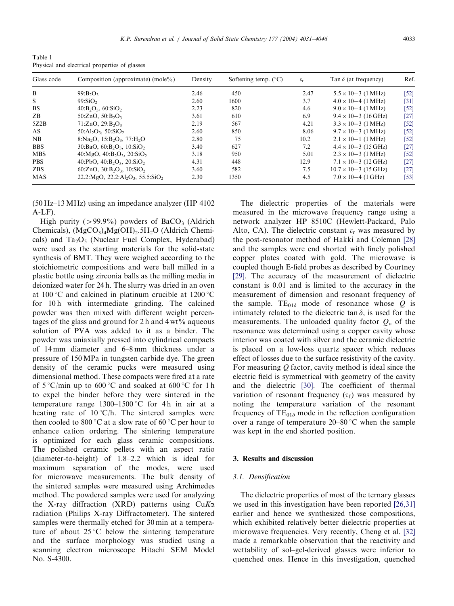<span id="page-2-0"></span>Table 1 Physical and electrical properties of glasses

| Glass code | Composition (approximate) (mole%)                                              | Density | Softening temp. $(^{\circ}C)$ | $\varepsilon_{\rm r}$ | Tan $\delta$ (at frequency)   | Ref.   |
|------------|--------------------------------------------------------------------------------|---------|-------------------------------|-----------------------|-------------------------------|--------|
| B          | $99: B_2O_3$                                                                   | 2.46    | 450                           | 2.47                  | $5.5 \times 10 - 3$ (1 MHz)   | $[52]$ |
| S          | 99:SiO <sub>2</sub>                                                            | 2.60    | 1600                          | 3.7                   | $4.0 \times 10 - 4$ (1 MHz)   | [31]   |
| <b>BS</b>  | $40:B_2O_3, 60:S_1O_2$                                                         | 2.23    | 820                           | 4.6                   | $9.0 \times 10 - 4$ (1 MHz)   | [52]   |
| ZB         | 50:ZnO, 50:B <sub>2</sub> O <sub>3</sub>                                       | 3.61    | 610                           | 6.9                   | $9.4 \times 10 - 3$ (16 GHz)  | $[27]$ |
| 5Z2B       | 71:ZnO, 29:B <sub>2</sub> O <sub>3</sub>                                       | 2.19    | 567                           | 4.21                  | $3.3 \times 10 - 3$ (1 MHz)   | [52]   |
| AS.        | $50:Al_2O_3$ , $50:SiO_2$                                                      | 2.60    | 850                           | 8.06                  | $9.7 \times 10 - 3$ (1 MHz)   | [52]   |
| NB         | 8: Na <sub>2</sub> O, 15: B <sub>2</sub> O <sub>3</sub> , 77: H <sub>2</sub> O | 2.80    | 75                            | 10.2                  | $2.1 \times 10 - 1$ (1 MHz)   | [52]   |
| <b>BBS</b> | 30:BaO, $60:B_2O_3$ , $10:S_1O_2$                                              | 3.40    | 627                           | 7.2                   | $4.4 \times 10 - 3$ (15 GHz)  | $[27]$ |
| <b>MBS</b> | $40: MgO, 40:B2O3, 20:SiO2$                                                    | 3.18    | 950                           | 5.01                  | $2.3 \times 10 - 3$ (1 MHz)   | [52]   |
| <b>PBS</b> | 40:PbO, $40:B_2O_3$ , $20:S_1O_2$                                              | 4.31    | 448                           | 12.9                  | $7.1 \times 10 - 3$ (12 GHz)  | $[27]$ |
| <b>ZBS</b> | 60:ZnO, $30:B_2O_3$ , $10:S_1O_2$                                              | 3.60    | 582                           | 7.5                   | $10.7 \times 10 - 3$ (15 GHz) | $[27]$ |
| <b>MAS</b> | $22.2$ : MgO, $22.2$ : Al <sub>2</sub> O <sub>3</sub> , 55.5: SiO <sub>2</sub> | 2.30    | 1350                          | 4.5                   | $7.0 \times 10-4$ (1 GHz)     | $[53]$ |

(50 Hz–13 MHz) using an impedance analyzer (HP 4102 A-LF).

High purity ( $> 99.9\%$ ) powders of BaCO<sub>3</sub> (Aldrich Chemicals),  $(MgCO<sub>3</sub>)<sub>4</sub>Mg(OH)<sub>2</sub>$ .5H<sub>2</sub>O (Aldrich Chemicals) and  $Ta_2O_5$  (Nuclear Fuel Complex, Hyderabad) were used as the starting materials for the solid-state synthesis of BMT. They were weighed according to the stoichiometric compositions and were ball milled in a plastic bottle using zirconia balls as the milling media in deionized water for 24 h. The slurry was dried in an oven at 100  $\degree$ C and calcined in platinum crucible at 1200  $\degree$ C for 10h with intermediate grinding. The calcined powder was then mixed with different weight percentages of the glass and ground for  $2h$  and  $4wt\%$  aqueous solution of PVA was added to it as a binder. The powder was uniaxially pressed into cylindrical compacts of 14 mm diameter and 6–8 mm thickness under a pressure of 150 MPa in tungsten carbide dye. The green density of the ceramic pucks were measured using dimensional method. These compacts were fired at a rate of  $5^{\circ}$ C/min up to  $600^{\circ}$ C and soaked at  $600^{\circ}$ C for 1 h to expel the binder before they were sintered in the temperature range  $1300-1500$  °C for 4h in air at a heating rate of  $10^{\circ}C/h$ . The sintered samples were then cooled to 800 °C at a slow rate of 60 °C per hour to enhance cation ordering. The sintering temperature is optimized for each glass ceramic compositions. The polished ceramic pellets with an aspect ratio (diameter-to-height) of 1.8–2.2 which is ideal for maximum separation of the modes, were used for microwave measurements. The bulk density of the sintered samples were measured using Archimedes method. The powdered samples were used for analyzing the X-ray diffraction (XRD) patterns using  $CuK\alpha$ radiation (Philips X-ray Diffractometer). The sintered samples were thermally etched for 30 min at a temperature of about  $25^{\circ}$ C below the sintering temperature and the surface morphology was studied using a scanning electron microscope Hitachi SEM Model No. S-4300.

The dielectric properties of the materials were measured in the microwave frequency range using a network analyzer HP 8510C (Hewlett-Packard, Palo Alto, CA). The dielectric constant  $\varepsilon_r$  was measured by the post-resonator method of Hakki and Coleman [\[28\]](#page-15-0) and the samples were end shorted with finely polished copper plates coated with gold. The microwave is coupled though E-field probes as described by Courtney [\[29\].](#page-15-0) The accuracy of the measurement of dielectric constant is 0.01 and is limited to the accuracy in the measurement of dimension and resonant frequency of the sample. TE<sub>01</sub> $\delta$  mode of resonance whose Q is intimately related to the dielectric tan  $\delta$ , is used for the measurements. The unloaded quality factor  $Q_{\rm u}$  of the resonance was determined using a copper cavity whose interior was coated with silver and the ceramic dielectric is placed on a low-loss quartz spacer which reduces effect of losses due to the surface resistivity of the cavity. For measuring  $Q$  factor, cavity method is ideal since the electric field is symmetrical with geometry of the cavity and the dielectric [\[30\].](#page-15-0) The coefficient of thermal variation of resonant frequency  $(\tau_f)$  was measured by noting the temperature variation of the resonant frequency of  $TE_{01\delta}$  mode in the reflection configuration over a range of temperature  $20-80$  °C when the sample was kept in the end shorted position.

# 3. Results and discussion

# 3.1. Densification

The dielectric properties of most of the ternary glasses we used in this investigation have been reported [\[26,31\]](#page-15-0) earlier and hence we synthesized those compositions, which exhibited relatively better dielectric properties at microwave frequencies. Very recently, Cheng et al. [\[32\]](#page-15-0) made a remarkable observation that the reactivity and wettability of sol–gel-derived glasses were inferior to quenched ones. Hence in this investigation, quenched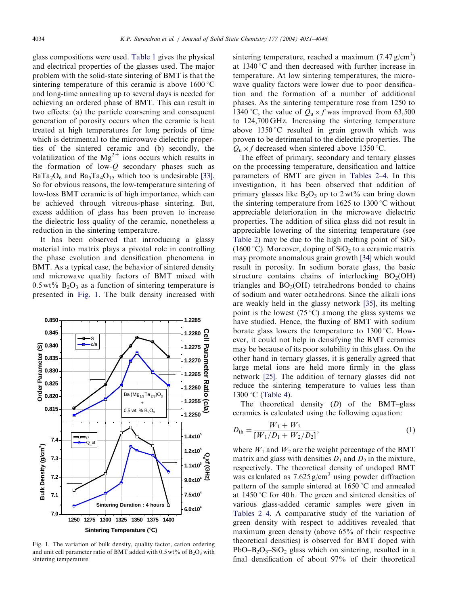<span id="page-3-0"></span>glass compositions were used. [Table 1](#page-2-0) gives the physical and electrical properties of the glasses used. The major problem with the solid-state sintering of BMT is that the sintering temperature of this ceramic is above  $1600^{\circ}$ C and long-time annealing up to several days is needed for achieving an ordered phase of BMT. This can result in two effects: (a) the particle coarsening and consequent generation of porosity occurs when the ceramic is heat treated at high temperatures for long periods of time which is detrimental to the microwave dielectric properties of the sintered ceramic and (b) secondly, the volatilization of the  $Mg^{2+}$  ions occurs which results in the formation of low- $Q$  secondary phases such as  $BaTa_2O_6$  and  $Ba_5Ta_4O_{15}$  which too is undesirable [\[33\].](#page-15-0) So for obvious reasons, the low-temperature sintering of low-loss BMT ceramic is of high importance, which can be achieved through vitreous-phase sintering. But, excess addition of glass has been proven to increase the dielectric loss quality of the ceramic, nonetheless a reduction in the sintering temperature.

It has been observed that introducing a glassy material into matrix plays a pivotal role in controlling the phase evolution and densification phenomena in BMT. As a typical case, the behavior of sintered density and microwave quality factors of BMT mixed with  $0.5 \text{ wt\% B}_2\text{O}_3$  as a function of sintering temperature is presented in Fig. 1. The bulk density increased with



Fig. 1. The variation of bulk density, quality factor, cation ordering and unit cell parameter ratio of BMT added with  $0.5 \text{ wt}$ % of  $B_2O_3$  with sintering temperature.

sintering temperature, reached a maximum  $(7.47 \text{ g/cm}^3)$ at  $1340^{\circ}$ C and then decreased with further increase in temperature. At low sintering temperatures, the microwave quality factors were lower due to poor densification and the formation of a number of additional phases. As the sintering temperature rose from 1250 to 1340 °C, the value of  $Q_u \times f$  was improved from 63,500 to 124,700 GHz. Increasing the sintering temperature above  $1350^{\circ}$ C resulted in grain growth which was proven to be detrimental to the dielectric properties. The  $Q_{\text{u}} \times f$  decreased when sintered above 1350 °C.

The effect of primary, secondary and ternary glasses on the processing temperature, densification and lattice parameters of BMT are given in [Tables 2–4](#page-4-0). In this investigation, it has been observed that addition of primary glasses like  $B_2O_3$  up to 2 wt% can bring down the sintering temperature from 1625 to 1300  $\degree$ C without appreciable deterioration in the microwave dielectric properties. The addition of silica glass did not result in appreciable lowering of the sintering temperature (see [Table 2](#page-4-0)) may be due to the high melting point of  $SiO<sub>2</sub>$ (1600 °C). Moreover, doping of  $SiO<sub>2</sub>$  to a ceramic matrix may promote anomalous grain growth [\[34\]](#page-15-0) which would result in porosity. In sodium borate glass, the basic structure contains chains of interlocking  $BO<sub>2</sub>(OH)$ triangles and  $BO<sub>3</sub>(OH)$  tetrahedrons bonded to chains of sodium and water octahedrons. Since the alkali ions are weakly held in the glassy network [\[35\]](#page-15-0), its melting point is the lowest (75 °C) among the glass systems we have studied. Hence, the fluxing of BMT with sodium borate glass lowers the temperature to  $1300\,^{\circ}\text{C}$ . However, it could not help in densifying the BMT ceramics may be because of its poor solubility in this glass. On the other hand in ternary glasses, it is generally agreed that large metal ions are held more firmly in the glass network [\[25\].](#page-15-0) The addition of ternary glasses did not reduce the sintering temperature to values less than  $1300$  °C ([Table 4](#page-5-0)).

The theoretical density  $(D)$  of the BMT–glass ceramics is calculated using the following equation:

$$
D_{\text{th}} = \frac{W_1 + W_2}{[W_1/D_1 + W_2/D_2]},\tag{1}
$$

where  $W_1$  and  $W_2$  are the weight percentage of the BMT matrix and glass with densities  $D_1$  and  $D_2$  in the mixture, respectively. The theoretical density of undoped BMT was calculated as  $7.625 \text{ g/cm}^3$  using powder diffraction pattern of the sample sintered at  $1650^{\circ}$ C and annealed at 1450 °C for 40 h. The green and sintered densities of various glass-added ceramic samples were given in [Tables 2–4.](#page-4-0) A comparative study of the variation of green density with respect to additives revealed that maximum green density (above 65% of their respective theoretical densities) is observed for BMT doped with PbO–B<sub>2</sub>O<sub>3</sub>–SiO<sub>2</sub> glass which on sintering, resulted in a final densification of about 97% of their theoretical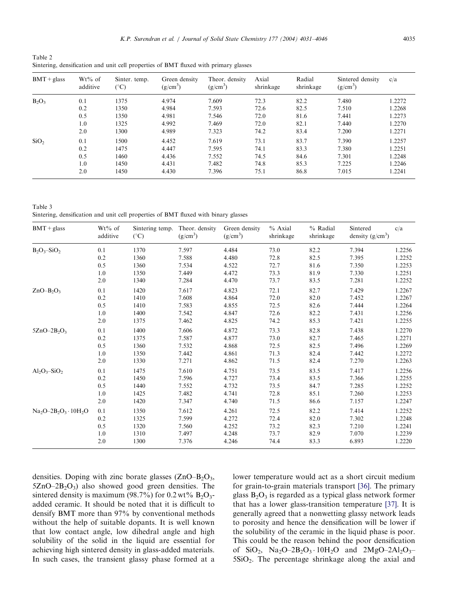<span id="page-4-0"></span>Table 2 Sintering, densification and unit cell properties of BMT fluxed with primary glasses

| $BMT + glass$    | $Wt\%$ of<br>additive | Sinter. temp.<br>$(^\circ C)$ | Green density<br>$(g/cm^3)$ | Theor. density<br>$(g/cm^3)$ | Axial<br>shrinkage | Radial<br>shrinkage | Sintered density<br>$(g/cm^3)$ | c/a    |
|------------------|-----------------------|-------------------------------|-----------------------------|------------------------------|--------------------|---------------------|--------------------------------|--------|
| $B_2O_3$         | 0.1                   | 1375                          | 4.974                       | 7.609                        | 72.3               | 82.2                | 7.480                          | 1.2272 |
|                  | 0.2                   | 1350                          | 4.984                       | 7.593                        | 72.6               | 82.5                | 7.510                          | 1.2268 |
|                  | 0.5                   | 1350                          | 4.981                       | 7.546                        | 72.0               | 81.6                | 7.441                          | 1.2273 |
|                  | 1.0                   | 1325                          | 4.992                       | 7.469                        | 72.0               | 82.1                | 7.440                          | 1.2270 |
|                  | 2.0                   | 1300                          | 4.989                       | 7.323                        | 74.2               | 83.4                | 7.200                          | 1.2271 |
| SiO <sub>2</sub> | 0.1                   | 1500                          | 4.452                       | 7.619                        | 73.1               | 83.7                | 7.390                          | 1.2257 |
|                  | 0.2                   | 1475                          | 4.447                       | 7.595                        | 74.1               | 83.3                | 7.380                          | 1.2251 |
|                  | 0.5                   | 1460                          | 4.436                       | 7.552                        | 74.5               | 84.6                | 7.301                          | 1.2248 |
|                  | 1.0                   | 1450                          | 4.431                       | 7.482                        | 74.8               | 85.3                | 7.225                          | 1.2246 |
|                  | 2.0                   | 1450                          | 4.430                       | 7.396                        | 75.1               | 86.8                | 7.015                          | 1.2241 |

Table 3 Sintering, densification and unit cell properties of BMT fluxed with binary glasses

| $BMT + glass$                | $Wt\%$ of<br>additive | Sintering temp.<br>$(^{\circ}C)$ | Theor. density<br>$(g/cm^3)$ | Green density<br>$(g/cm^3)$ | $%$ Axial<br>shrinkage | % Radial<br>shrinkage | Sintered<br>density $(g/cm^3)$ | c/a    |
|------------------------------|-----------------------|----------------------------------|------------------------------|-----------------------------|------------------------|-----------------------|--------------------------------|--------|
| $B_2O_3-SiO_2$               | 0.1                   | 1370                             | 7.597                        | 4.484                       | 73.0                   | 82.2                  | 7.394                          | 1.2256 |
|                              | 0.2                   | 1360                             | 7.588                        | 4.480                       | 72.8                   | 82.5                  | 7.395                          | 1.2252 |
|                              | 0.5                   | 1360                             | 7.534                        | 4.522                       | 72.7                   | 81.6                  | 7.350                          | 1.2253 |
|                              | 1.0                   | 1350                             | 7.449                        | 4.472                       | 73.3                   | 81.9                  | 7.330                          | 1.2251 |
|                              | 2.0                   | 1340                             | 7.284                        | 4.470                       | 73.7                   | 83.5                  | 7.281                          | 1.2252 |
| $ZnO-B2O3$                   | 0.1                   | 1420                             | 7.617                        | 4.823                       | 72.1                   | 82.7                  | 7.429                          | 1.2267 |
|                              | 0.2                   | 1410                             | 7.608                        | 4.864                       | 72.0                   | 82.0                  | 7.452                          | 1.2267 |
|                              | 0.5                   | 1410                             | 7.583                        | 4.855                       | 72.5                   | 82.6                  | 7.444                          | 1.2264 |
|                              | $1.0\,$               | 1400                             | 7.542                        | 4.847                       | 72.6                   | 82.2                  | 7.431                          | 1.2256 |
|                              | 2.0                   | 1375                             | 7.462                        | 4.825                       | 74.2                   | 85.3                  | 7.421                          | 1.2255 |
| $5ZnO-2B_2O_3$               | 0.1                   | 1400                             | 7.606                        | 4.872                       | 73.3                   | 82.8                  | 7.438                          | 1.2270 |
|                              | 0.2                   | 1375                             | 7.587                        | 4.877                       | 73.0                   | 82.7                  | 7.465                          | 1.2271 |
|                              | 0.5                   | 1360                             | 7.532                        | 4.868                       | 72.5                   | 82.5                  | 7.496                          | 1.2269 |
|                              | 1.0                   | 1350                             | 7.442                        | 4.861                       | 71.3                   | 82.4                  | 7.442                          | 1.2272 |
|                              | 2.0                   | 1330                             | 7.271                        | 4.862                       | 71.5                   | 82.4                  | 7.270                          | 1.2263 |
| $Al_2O_3-SiO_2$              | 0.1                   | 1475                             | 7.610                        | 4.751                       | 73.5                   | 83.5                  | 7.417                          | 1.2256 |
|                              | 0.2                   | 1450                             | 7.596                        | 4.727                       | 73.4                   | 83.5                  | 7.366                          | 1.2255 |
|                              | 0.5                   | 1440                             | 7.552                        | 4.732                       | 73.5                   | 84.7                  | 7.285                          | 1.2252 |
|                              | 1.0                   | 1425                             | 7.482                        | 4.741                       | 72.8                   | 85.1                  | 7.260                          | 1.2253 |
|                              | 2.0                   | 1420                             | 7.347                        | 4.740                       | 71.5                   | 86.6                  | 7.157                          | 1.2247 |
| $Na_2O-2B_2O_3 \cdot 10H_2O$ | 0.1                   | 1350                             | 7.612                        | 4.261                       | 72.5                   | 82.2                  | 7.414                          | 1.2252 |
|                              | 0.2                   | 1325                             | 7.599                        | 4.272                       | 72.4                   | 82.0                  | 7.302                          | 1.2248 |
|                              | 0.5                   | 1320                             | 7.560                        | 4.252                       | 73.2                   | 82.3                  | 7.210                          | 1.2241 |
|                              | $1.0\,$               | 1310                             | 7.497                        | 4.248                       | 73.7                   | 82.9                  | 7.070                          | 1.2239 |
|                              | 2.0                   | 1300                             | 7.376                        | 4.246                       | 74.4                   | 83.3                  | 6.893                          | 1.2220 |

densities. Doping with zinc borate glasses  $(ZnO-B<sub>2</sub>O<sub>3</sub>)$ ,  $5ZnO-2B<sub>2</sub>O<sub>3</sub>$ ) also showed good green densities. The sintered density is maximum (98.7%) for 0.2 wt%  $B_2O_3$ added ceramic. It should be noted that it is difficult to densify BMT more than 97% by conventional methods without the help of suitable dopants. It is well known that low contact angle, low dihedral angle and high solubility of the solid in the liquid are essential for achieving high sintered density in glass-added materials. In such cases, the transient glassy phase formed at a lower temperature would act as a short circuit medium for grain-to-grain materials transport [\[36\].](#page-15-0) The primary glass  $B_2O_3$  is regarded as a typical glass network former that has a lower glass-transition temperature [\[37\].](#page-15-0) It is generally agreed that a nonwetting glassy network leads to porosity and hence the densification will be lower if the solubility of the ceramic in the liquid phase is poor. This could be the reason behind the poor densification of SiO<sub>2</sub>, Na<sub>2</sub>O–2B<sub>2</sub>O<sub>3</sub> · 10H<sub>2</sub>O and 2MgO–2Al<sub>2</sub>O<sub>3</sub>–  $5SiO<sub>2</sub>$ . The percentage shrinkage along the axial and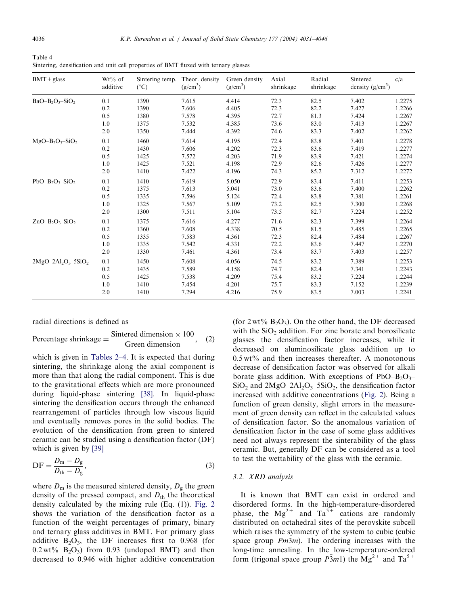<span id="page-5-0"></span>

| Table 4 |                                                                                      |  |  |  |  |
|---------|--------------------------------------------------------------------------------------|--|--|--|--|
|         | Sintering, densification and unit cell properties of BMT fluxed with ternary glasses |  |  |  |  |

| $BMT + glass$          | $Wt\%$ of<br>additive | Sintering temp.<br>$(^{\circ}C)$ | Theor. density<br>$(g/cm^3)$ | Green density<br>$(g/cm^3)$ | Axial<br>shrinkage | Radial<br>shrinkage | Sintered<br>density $(g/cm^3)$ | c/a    |
|------------------------|-----------------------|----------------------------------|------------------------------|-----------------------------|--------------------|---------------------|--------------------------------|--------|
| $BaO-B2O3-SiO2$        | 0.1                   | 1390                             | 7.615                        | 4.414                       | 72.3               | 82.5                | 7.402                          | 1.2275 |
|                        | 0.2                   | 1390                             | 7.606                        | 4.405                       | 72.3               | 82.2                | 7.427                          | 1.2266 |
|                        | 0.5                   | 1380                             | 7.578                        | 4.395                       | 72.7               | 81.3                | 7.424                          | 1.2267 |
|                        | 1.0                   | 1375                             | 7.532                        | 4.385                       | 73.6               | 83.0                | 7.413                          | 1.2267 |
|                        | 2.0                   | 1350                             | 7.444                        | 4.392                       | 74.6               | 83.3                | 7.402                          | 1.2262 |
| $MgO-B_2O_3-SiO_2$     | 0.1                   | 1460                             | 7.614                        | 4.195                       | 72.4               | 83.8                | 7.401                          | 1.2278 |
|                        | 0.2                   | 1430                             | 7.606                        | 4.202                       | 72.3               | 83.6                | 7.419                          | 1.2277 |
|                        | 0.5                   | 1425                             | 7.572                        | 4.203                       | 71.9               | 83.9                | 7.421                          | 1.2274 |
|                        | 1.0                   | 1425                             | 7.521                        | 4.198                       | 72.9               | 82.6                | 7.426                          | 1.2277 |
|                        | 2.0                   | 1410                             | 7.422                        | 4.196                       | 74.3               | 85.2                | 7.312                          | 1.2272 |
| $PbO-B2O3-SiO2$        | 0.1                   | 1410                             | 7.619                        | 5.050                       | 72.9               | 83.4                | 7.411                          | 1.2253 |
|                        | 0.2                   | 1375                             | 7.613                        | 5.041                       | 73.0               | 83.6                | 7.400                          | 1.2262 |
|                        | 0.5                   | 1335                             | 7.596                        | 5.124                       | 72.4               | 83.8                | 7.381                          | 1.2261 |
|                        | 1.0                   | 1325                             | 7.567                        | 5.109                       | 73.2               | 82.5                | 7.300                          | 1.2268 |
|                        | 2.0                   | 1300                             | 7.511                        | 5.104                       | 73.5               | 82.7                | 7.224                          | 1.2252 |
| $ZnO-B2O3-SiO2$        | 0.1                   | 1375                             | 7.616                        | 4.277                       | 71.6               | 82.3                | 7.399                          | 1.2264 |
|                        | 0.2                   | 1360                             | 7.608                        | 4.338                       | 70.5               | 81.5                | 7.485                          | 1.2265 |
|                        | 0.5                   | 1335                             | 7.583                        | 4.361                       | 72.3               | 82.4                | 7.484                          | 1.2267 |
|                        | 1.0                   | 1335                             | 7.542                        | 4.331                       | 72.2               | 83.6                | 7.447                          | 1.2270 |
|                        | 2.0                   | 1330                             | 7.461                        | 4.361                       | 73.4               | 83.7                | 7.403                          | 1.2257 |
| $2MgO-2Al_2O_3-5SiO_2$ | 0.1                   | 1450                             | 7.608                        | 4.056                       | 74.5               | 83.2                | 7.389                          | 1.2253 |
|                        | 0.2                   | 1435                             | 7.589                        | 4.158                       | 74.7               | 82.4                | 7.341                          | 1.2243 |
|                        | 0.5                   | 1425                             | 7.538                        | 4.209                       | 75.4               | 83.2                | 7.224                          | 1.2244 |
|                        | 1.0                   | 1410                             | 7.454                        | 4.201                       | 75.7               | 83.3                | 7.152                          | 1.2239 |
|                        | 2.0                   | 1410                             | 7.294                        | 4.216                       | 75.9               | 83.5                | 7.003                          | 1.2241 |

radial directions is defined as

Percentage shrinkage = 
$$
\frac{\text{Sintered dimension} \times 100}{\text{Green dimension}}, \quad (2)
$$

which is given in [Tables 2–4.](#page-4-0) It is expected that during sintering, the shrinkage along the axial component is more than that along the radial component. This is due to the gravitational effects which are more pronounced during liquid-phase sintering [\[38\]](#page-15-0). In liquid-phase sintering the densification occurs through the enhanced rearrangement of particles through low viscous liquid and eventually removes pores in the solid bodies. The evolution of the densification from green to sintered ceramic can be studied using a densification factor (DF) which is given by [\[39\]](#page-15-0)

$$
DF = \frac{D_{\rm m} - D_{\rm g}}{D_{\rm th} - D_{\rm g}},\tag{3}
$$

where  $D_m$  is the measured sintered density,  $D_g$  the green density of the pressed compact, and  $D_{th}$  the theoretical density calculated by the mixing rule (Eq. (1)). [Fig. 2](#page-6-0) shows the variation of the densification factor as a function of the weight percentages of primary, binary and ternary glass additives in BMT. For primary glass additive  $B_2O_3$ , the DF increases first to 0.968 (for  $0.2 \text{ wt\%}$  B<sub>2</sub>O<sub>3</sub>) from 0.93 (undoped BMT) and then decreased to 0.946 with higher additive concentration

(for  $2 \text{ wt} \% B_2O_3$ ). On the other hand, the DF decreased with the  $SiO<sub>2</sub>$  addition. For zinc borate and borosilicate glasses the densification factor increases, while it decreased on aluminosilicate glass addition up to  $0.5 \text{ wt\%}$  and then increases thereafter. A monotonous decrease of densification factor was observed for alkali borate glass addition. With exceptions of  $PbO-B_2O_3$ –  $SiO<sub>2</sub>$  and  $2MgO-2Al<sub>2</sub>O<sub>3</sub> - 5SiO<sub>2</sub>$ , the densification factor increased with additive concentrations [\(Fig. 2\)](#page-6-0). Being a function of green density, slight errors in the measurement of green density can reflect in the calculated values of densification factor. So the anomalous variation of densification factor in the case of some glass additives need not always represent the sinterability of the glass ceramic. But, generally DF can be considered as a tool to test the wettability of the glass with the ceramic.

# 3.2. XRD analysis

It is known that BMT can exist in ordered and disordered forms. In the high-temperature-disordered phase, the  $Mg^{2+}$  and  $Ta^{5+}$  cations are randomly distributed on octahedral sites of the perovskite subcell which raises the symmetry of the system to cubic (cubic space group  $Pm3m$ ). The ordering increases with the long-time annealing. In the low-temperature-ordered form (trigonal space group  $\overline{P3}m1$ ) the  $\text{Mg}^{2+}$  and  $\text{Ta}^{5+}$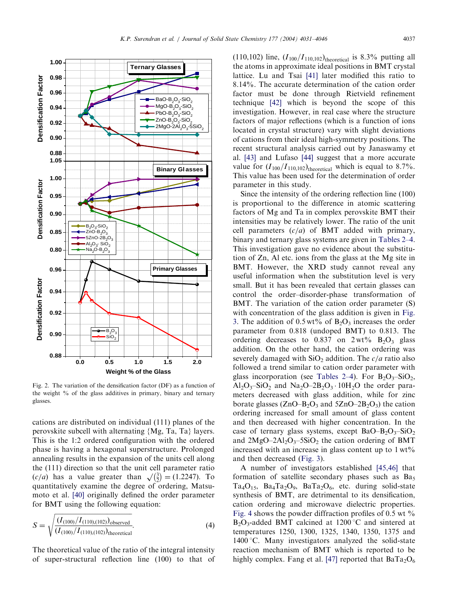<span id="page-6-0"></span>

Fig. 2. The variation of the densification factor (DF) as a function of the weight % of the glass additives in primary, binary and ternary glasses.

cations are distributed on individual (111) planes of the perovskite subcell with alternating {Mg, Ta, Ta} layers. This is the 1:2 ordered configuration with the ordered phase is having a hexagonal superstructure. Prolonged annealing results in the expansion of the units cell along the (111) direction so that the unit cell parameter ratio  $(c/a)$  has a value greater than  $\sqrt{\frac{3}{2}}$  $\left(\frac{3}{2}\right) = (1.2247)$ . To quantitatively examine the degree of ordering, Matsumoto et al. [\[40\]](#page-15-0) originally defined the order parameter for BMT using the following equation:

$$
S = \sqrt{\frac{(I_{(100)}/I_{(110),(102)})_{\text{observed}}}{(I_{(100)}/I_{(110),(102)})_{\text{theoretical}}}}.
$$
\n(4)

The theoretical value of the ratio of the integral intensity of super-structural reflection line (100) to that of

 $(110,102)$  line,  $(I_{100}/I_{110,102})$ <sub>theoretical</sub> is 8.3% putting all the atoms in approximate ideal positions in BMT crystal lattice. Lu and Tsai [\[41\]](#page-15-0) later modified this ratio to 8.14%. The accurate determination of the cation order factor must be done through Rietvield refinement technique [\[42\]](#page-15-0) which is beyond the scope of this investigation. However, in real case where the structure factors of major reflections (which is a function of ions located in crystal structure) vary with slight deviations of cations from their ideal high-symmetry positions. The recent structural analysis carried out by Janaswamy et al. [\[43\]](#page-15-0) and Lufaso [\[44\]](#page-15-0) suggest that a more accurate value for  $(I_{100}/I_{110,102})$ <sub>theoretical</sub> which is equal to 8.7%. This value has been used for the determination of order parameter in this study.

Since the intensity of the ordering reflection line (100) is proportional to the difference in atomic scattering factors of Mg and Ta in complex perovskite BMT their intensities may be relatively lower. The ratio of the unit cell parameters  $(c/a)$  of BMT added with primary, binary and ternary glass systems are given in [Tables 2–4.](#page-4-0) This investigation gave no evidence about the substitution of Zn, Al etc. ions from the glass at the Mg site in BMT. However, the XRD study cannot reveal any useful information when the substitution level is very small. But it has been revealed that certain glasses can control the order–disorder-phase transformation of BMT. The variation of the cation order parameter (S) with concentration of the glass addition is given in [Fig.](#page-7-0) [3.](#page-7-0) The addition of  $0.5 \text{ wt\%}$  of  $B_2O_3$  increases the order parameter from 0.818 (undoped BMT) to 0.813. The ordering decreases to  $0.837$  on  $2 \text{ wt\%}$  B<sub>2</sub>O<sub>3</sub> glass addition. On the other hand, the cation ordering was severely damaged with  $SiO<sub>2</sub>$  addition. The  $c/a$  ratio also followed a trend similar to cation order parameter with glass incorporation (see [Tables 2–4\)](#page-4-0). For  $B_2O_3-SiO_2$ ,  $Al_2O_3-SiO_2$  and  $Na_2O-2B_2O_3 \cdot 10H_2O$  the order parameters decreased with glass addition, while for zinc borate glasses  $(ZnO-B<sub>2</sub>O<sub>3</sub>$  and  $5ZnO-2B<sub>2</sub>O<sub>3</sub>$ ) the cation ordering increased for small amount of glass content and then decreased with higher concentration. In the case of ternary glass systems, except  $BaO-B<sub>2</sub>O<sub>3</sub>$ -SiO<sub>2</sub> and  $2MgO-2Al<sub>2</sub>O<sub>3</sub> - 5SiO<sub>2</sub>$  the cation ordering of BMT increased with an increase in glass content up to  $1 wt\%$ and then decreased ([Fig. 3](#page-7-0)).

A number of investigators established [\[45,46\]](#page-15-0) that formation of satellite secondary phases such as  $Ba<sub>5</sub>$  $Ta_4O_{15}$ ,  $Ba_4Ta_2O_9$ ,  $BaTa_2O_6$ , etc. during solid-state synthesis of BMT, are detrimental to its densification, cation ordering and microwave dielectric properties. [Fig. 4](#page-7-0) shows the powder diffraction profiles of 0.5 wt  $\%$  $B_2O_3$ -added BMT calcined at 1200 °C and sintered at temperatures 1250, 1300, 1325, 1340, 1350, 1375 and  $1400^{\circ}$ C. Many investigators analyzed the solid-state reaction mechanism of BMT which is reported to be highly complex. Fang et al. [\[47\]](#page-15-0) reported that  $BaTa_2O_6$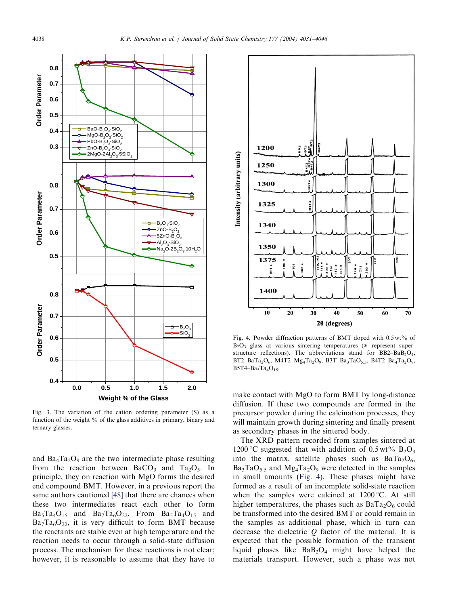<span id="page-7-0"></span>

Fig. 3. The variation of the cation ordering parameter (S) as a function of the weight % of the glass additives in primary, binary and ternary glasses.

and  $Ba_4Ta_2O_9$  are the two intermediate phase resulting from the reaction between  $BaCO<sub>3</sub>$  and  $Ta<sub>2</sub>O<sub>5</sub>$ . In principle, they on reaction with MgO forms the desired end compound BMT. However, in a previous report the same authors cautioned [\[48\]](#page-15-0) that there are chances when these two intermediates react each other to form  $Ba_5Ta_4O_{15}$  and  $Ba_7Ta_6O_{22}$ . From  $Ba_5Ta_4O_{15}$  and  $Ba_7Ta_6O_{22}$ , it is very difficult to form BMT because the reactants are stable even at high temperature and the reaction needs to occur through a solid-state diffusion process. The mechanism for these reactions is not clear; however, it is reasonable to assume that they have to



Fig. 4. Powder diffraction patterns of BMT doped with 0.5 wt% of  $B_2O_3$  glass at various sintering temperatures (\* represent superstructure reflections). The abbreviations stand for  $BB2-BaB_2O_4$ ,  $BT2-BaTa_2O_6$ , M4T2–Mg<sub>4</sub>Ta<sub>2</sub>O<sub>9</sub>, B3T–Ba<sub>3</sub>TaO<sub>5.5</sub>, B4T2–Ba<sub>4</sub>Ta<sub>2</sub>O<sub>9</sub>,  $B5T4-Ba_5Ta_4O_{15}$ .

make contact with MgO to form BMT by long-distance diffusion. If these two compounds are formed in the precursor powder during the calcination processes, they will maintain growth during sintering and finally present as secondary phases in the sintered body.

The XRD pattern recorded from samples sintered at 1200 °C suggested that with addition of 0.5 wt%  $B_2O_3$ into the matrix, satellite phases such as  $BaTa_2O_6$ ,  $Ba_3TaO_{5.5}$  and  $Mg_4Ta_2O_9$  were detected in the samples in small amounts (Fig. 4). These phases might have formed as a result of an incomplete solid-state reaction when the samples were calcined at  $1200\,^{\circ}\text{C}$ . At still higher temperatures, the phases such as  $BaTa_2O_6$  could be transformed into the desired BMT or could remain in the samples as additional phase, which in turn can decrease the dielectric  $Q$  factor of the material. It is expected that the possible formation of the transient liquid phases like  $BaB<sub>2</sub>O<sub>4</sub>$  might have helped the materials transport. However, such a phase was not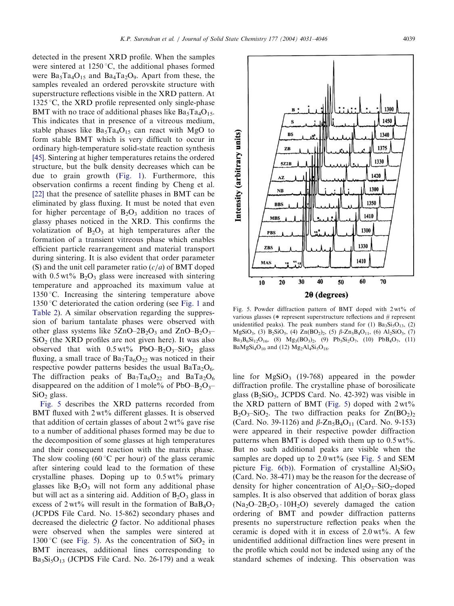<span id="page-8-0"></span>detected in the present XRD profile. When the samples were sintered at  $1250^{\circ}$ C, the additional phases formed were  $Ba_5Ta_4O_{15}$  and  $Ba_4Ta_2O_9$ . Apart from these, the samples revealed an ordered perovskite structure with superstructure reflections visible in the XRD pattern. At 1325 °C, the XRD profile represented only single-phase BMT with no trace of additional phases like  $Ba<sub>5</sub>Ta<sub>4</sub>O<sub>15</sub>$ . This indicates that in presence of a vitreous medium, stable phases like  $Ba<sub>5</sub>Ta<sub>4</sub>O<sub>15</sub>$  can react with MgO to form stable BMT which is very difficult to occur in ordinary high-temperature solid-state reaction synthesis [\[45\].](#page-15-0) Sintering at higher temperatures retains the ordered structure, but the bulk density decreases which can be due to grain growth ([Fig. 1\)](#page-3-0). Furthermore, this observation confirms a recent finding by Cheng et al. [\[22\]](#page-15-0) that the presence of satellite phases in BMT can be eliminated by glass fluxing. It must be noted that even for higher percentage of  $B_2O_3$  addition no traces of glassy phases noticed in the XRD. This confirms the volatization of  $B_2O_3$  at high temperatures after the formation of a transient vitreous phase which enables efficient particle rearrangement and material transport during sintering. It is also evident that order parameter (S) and the unit cell parameter ratio  $(c/a)$  of BMT doped with  $0.5 \text{ wt\% B}_2\text{O}_3$  glass were increased with sintering temperature and approached its maximum value at 1350 °C. Increasing the sintering temperature above 1350 °C deteriorated the cation ordering (see [Fig. 1](#page-3-0) and [Table 2\)](#page-4-0). A similar observation regarding the suppression of barium tantalate phases were observed with other glass systems like  $5ZnO-2B_2O_3$  and  $ZnO-B_2O_3 SiO<sub>2</sub>$  (the XRD profiles are not given here). It was also observed that with  $0.5 \text{ wt\%}$  PbO–B<sub>2</sub>O<sub>3</sub>–SiO<sub>2</sub> glass fluxing, a small trace of  $Ba_7Ta_6O_{22}$  was noticed in their respective powder patterns besides the usual  $BaTa_2O_6$ . The diffraction peaks of  $Ba_7Ta_6O_{22}$  and  $BaTa_2O_6$ disappeared on the addition of 1 mole% of PbO–B<sub>2</sub>O<sub>3</sub>–  $SiO<sub>2</sub>$  glass.

Fig. 5 describes the XRD patterns recorded from BMT fluxed with  $2wt\%$  different glasses. It is observed that addition of certain glasses of about  $2 \text{ wt\%}$  gave rise to a number of additional phases formed may be due to the decomposition of some glasses at high temperatures and their consequent reaction with the matrix phase. The slow cooling (60 $\degree$ C per hour) of the glass ceramic after sintering could lead to the formation of these crystalline phases. Doping up to  $0.5 \text{ wt}$ % primary glasses like  $B_2O_3$  will not form any additional phase but will act as a sintering aid. Addition of  $B_2O_3$  glass in excess of 2 wt% will result in the formation of  $BaB_4O_7$ (JCPDS File Card. No. 15-862) secondary phases and decreased the dielectric  $Q$  factor. No additional phases were observed when the samples were sintered at 1300 °C (see Fig. 5). As the concentration of  $SiO<sub>2</sub>$  in BMT increases, additional lines corresponding to  $Ba<sub>3</sub>Si<sub>5</sub>O<sub>13</sub>$  (JCPDS File Card. No. 26-179) and a weak Fig. 5. Powder diffraction pattern of BMT doped with  $2wt\%$  of various glasses ( $*$  represent superstructure reflections and  $#$  represent unidentified peaks). The peak numbers stand for (1)  $Ba<sub>3</sub>Si<sub>5</sub>O<sub>13</sub>$ , (2)  $MgSiO_3$ , (3)  $B_2SiO_5$ , (4)  $Zn(BO_2)_2$ , (5)  $\beta$ - $Zn_5B_4O_{11}$ , (6)  $Al_2SiO_5$ , (7)  $Ba_3B_6Si_{12}O_{16}$ , (8)  $Mg_3(BO_3)_2$ , (9)  $Pb_5Si_2O_7$ , (10)  $PbB_4O_7$ , (11)  $BaMgSi<sub>4</sub>O<sub>10</sub>$  and (12)  $Mg<sub>2</sub>Al<sub>4</sub>Si<sub>5</sub>O<sub>18</sub>$ .

line for  $MgSiO<sub>3</sub>$  (19-768) appeared in the powder diffraction profile. The crystalline phase of borosilicate glass  $(B_2SiO_5, JCPDS$  Card. No. 42-392) was visible in the XRD pattern of BMT (Fig. 5) doped with  $2wt\%$  $B_2O_3-SiO_2$ . The two diffraction peaks for  $Zn(BO_2)_2$ (Card. No. 39-1126) and  $\beta$ -Zn<sub>5</sub>B<sub>4</sub>O<sub>11</sub> (Card. No. 9-153) were appeared in their respective powder diffraction patterns when BMT is doped with them up to  $0.5 \text{ wt\%}$ . But no such additional peaks are visible when the samples are doped up to  $2.0 \text{ wt\%}$  (see Fig. 5 and SEM picture [Fig. 6\(b\)\)](#page-9-0). Formation of crystalline  $Al_2SiO_5$ (Card. No. 38-471) may be the reason for the decrease of density for higher concentration of  $Al_2O_3-SiO_2$ -doped samples. It is also observed that addition of borax glass  $(Na_2O-2B_2O_3 \cdot 10H_2O)$  severely damaged the cation ordering of BMT and powder diffraction patterns presents no superstructure reflection peaks when the ceramic is doped with it in excess of  $2.0 \text{ wt\%}$ . A few unidentified additional diffraction lines were present in the profile which could not be indexed using any of the standard schemes of indexing. This observation was



1300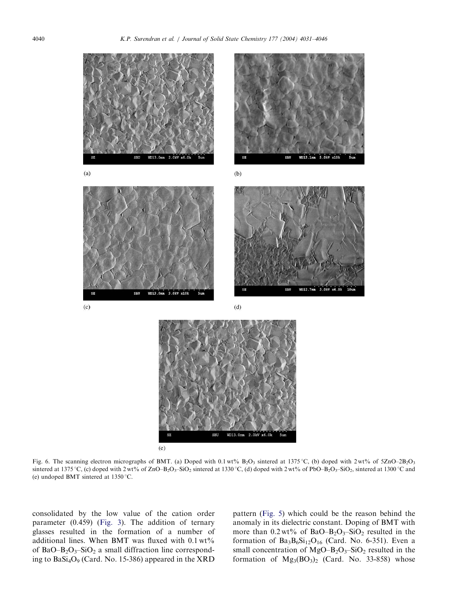<span id="page-9-0"></span>

Fig. 6. The scanning electron micrographs of BMT. (a) Doped with 0.1 wt%  $B_2O_3$  sintered at 1375 °C, (b) doped with 2 wt% of 5ZnO–2B<sub>2</sub>O<sub>3</sub> sintered at 1375 °C, (c) doped with 2 wt% of ZnO–B<sub>2</sub>O<sub>3</sub>–SiO<sub>2</sub> sintered at 1330 °C, (d) doped with 2 wt% of PbO–B<sub>2</sub>O<sub>3</sub>–SiO<sub>2</sub>, sintered at 1300 °C and (e) undoped BMT sintered at  $1350^{\circ}$ C.

consolidated by the low value of the cation order parameter (0.459) ([Fig. 3](#page-7-0)). The addition of ternary glasses resulted in the formation of a number of additional lines. When BMT was fluxed with  $0.1 \text{ wt\%}$ of BaO–B<sub>2</sub>O<sub>3</sub>–SiO<sub>2</sub> a small diffraction line corresponding to  $BaSi<sub>4</sub>O<sub>9</sub>$  (Card. No. 15-386) appeared in the XRD

pattern ([Fig. 5](#page-8-0)) which could be the reason behind the anomaly in its dielectric constant. Doping of BMT with more than  $0.2 \text{ wt}$ % of BaO–B<sub>2</sub>O<sub>3</sub>–SiO<sub>2</sub> resulted in the formation of  $Ba_3B_6Si_{12}O_{16}$  (Card. No. 6-351). Even a small concentration of  $MgO-B_2O_3-SiO_2$  resulted in the formation of  $Mg_3(BO_3)_2$  (Card. No. 33-858) whose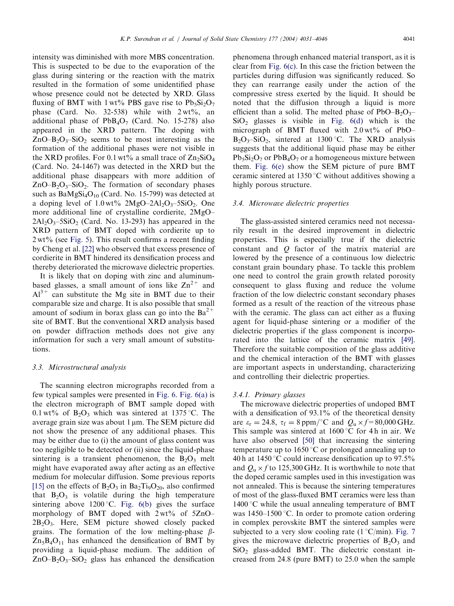intensity was diminished with more MBS concentration. This is suspected to be due to the evaporation of the glass during sintering or the reaction with the matrix resulted in the formation of some unidentified phase whose presence could not be detected by XRD. Glass fluxing of BMT with 1 wt% PBS gave rise to  $Pb_5Si_2O_7$ phase (Card. No. 32-538) while with  $2wt\%$ , an additional phase of  $PbB_4O_7$  (Card. No. 15-278) also appeared in the XRD pattern. The doping with  $ZnO-B<sub>2</sub>O<sub>3</sub>$ -SiO<sub>2</sub> seems to be most interesting as the formation of the additional phases were not visible in the XRD profiles. For 0.1 wt% a small trace of  $\text{Zn}_2\text{SiO}_4$ (Card. No. 24-1467) was detected in the XRD but the additional phase disappears with more addition of  $ZnO-B<sub>2</sub>O<sub>3</sub>$ –SiO<sub>2</sub>. The formation of secondary phases such as  $BaMgSi<sub>4</sub>O<sub>10</sub>$  (Card. No. 15-799) was detected at a doping level of  $1.0 \text{ wt\%}$  2MgO–2Al<sub>2</sub>O<sub>3</sub>–5SiO<sub>2</sub>. One more additional line of crystalline cordierite, 2MgO–  $2Al_2O_3 - 5SiO_2$  (Card. No. 13-293) has appeared in the XRD pattern of BMT doped with cordierite up to 2 wt% (see [Fig. 5](#page-8-0)). This result confirms a recent finding by Cheng et al. [\[22\]](#page-15-0) who observed that excess presence of cordierite in BMT hindered its densification process and thereby deteriorated the microwave dielectric properties.

It is likely that on doping with zinc and aluminumbased glasses, a small amount of ions like  $\text{Zn}^{2+}$  and  $Al^{3+}$  can substitute the Mg site in BMT due to their comparable size and charge. It is also possible that small amount of sodium in borax glass can go into the  $Ba^{2+}$ site of BMT. But the conventional XRD analysis based on powder diffraction methods does not give any information for such a very small amount of substitutions.

#### 3.3. Microstructural analysis

The scanning electron micrographs recorded from a few typical samples were presented in [Fig. 6](#page-9-0). [Fig. 6\(a\)](#page-9-0) is the electron micrograph of BMT sample doped with 0.1 wt% of  $B_2O_3$  which was sintered at 1375 °C. The average grain size was about  $1 \mu m$ . The SEM picture did not show the presence of any additional phases. This may be either due to (i) the amount of glass content was too negligible to be detected or (ii) since the liquid-phase sintering is a transient phenomenon, the  $B_2O_3$  melt might have evaporated away after acting as an effective medium for molecular diffusion. Some previous reports [\[15\]](#page-15-0) on the effects of  $B_2O_3$  in  $Ba_2Ti_9O_{20}$ , also confirmed that  $B_2O_3$  is volatile during the high temperature sintering above 1200 °C. Fig.  $6(b)$  gives the surface morphology of BMT doped with  $2wt\%$  of  $5ZnO 2B_2O_3$ . Here, SEM picture showed closely packed grains. The formation of the low melting-phase  $\beta$ - $Zn_5B_4O_{11}$  has enhanced the densification of BMT by providing a liquid-phase medium. The addition of  $ZnO-B_2O_3-SiO_2$  glass has enhanced the densification phenomena through enhanced material transport, as it is clear from [Fig. 6\(c\)](#page-9-0). In this case the friction between the particles during diffusion was significantly reduced. So they can rearrange easily under the action of the compressive stress exerted by the liquid. It should be noted that the diffusion through a liquid is more efficient than a solid. The melted phase of  $PbO-B_2O_3 SiO<sub>2</sub>$  glasses is visible in [Fig. 6\(d\)](#page-9-0) which is the micrograph of BMT fluxed with  $2.0 \text{ wt\%}$  of PbO–  $B_2O_3-SiO_2$ , sintered at 1300 °C. The XRD analysis suggests that the additional liquid phase may be either  $Pb_5Si_2O_7$  or  $PbB_4O_7$  or a homogeneous mixture between them. [Fig. 6\(e\)](#page-9-0) show the SEM picture of pure BMT ceramic sintered at 1350  $\degree$ C without additives showing a highly porous structure.

### 3.4. Microwave dielectric properties

The glass-assisted sintered ceramics need not necessarily result in the desired improvement in dielectric properties. This is especially true if the dielectric constant and Q factor of the matrix material are lowered by the presence of a continuous low dielectric constant grain boundary phase. To tackle this problem one need to control the grain growth related porosity consequent to glass fluxing and reduce the volume fraction of the low dielectric constant secondary phases formed as a result of the reaction of the vitreous phase with the ceramic. The glass can act either as a fluxing agent for liquid-phase sintering or a modifier of the dielectric properties if the glass component is incorporated into the lattice of the ceramic matrix [\[49\].](#page-15-0) Therefore the suitable composition of the glass additive and the chemical interaction of the BMT with glasses are important aspects in understanding, characterizing and controlling their dielectric properties.

#### 3.4.1. Primary glasses

The microwave dielectric properties of undoped BMT with a densification of 93.1% of the theoretical density are  $\varepsilon_r = 24.8$ ,  $\tau_f = 8$  ppm/°C and  $Q_u \times f = 80,000$  GHz. This sample was sintered at  $1600\degree C$  for 4 h in air. We have also observed [\[50\]](#page-15-0) that increasing the sintering temperature up to 1650 °C or prolonged annealing up to 40 h at 1450 °C could increase densification up to 97.5% and  $Q_u \times f$  to 125,300 GHz. It is worthwhile to note that the doped ceramic samples used in this investigation was not annealed. This is because the sintering temperatures of most of the glass-fluxed BMT ceramics were less than  $1400\degree$ C while the usual annealing temperature of BMT was  $1450-1500$  °C. In order to promote cation ordering in complex perovskite BMT the sintered samples were subjected to a very slow cooling rate ( $1^{\circ}C/\text{min}$ ). [Fig. 7](#page-11-0) gives the microwave dielectric properties of  $B_2O_3$  and  $SiO<sub>2</sub>$  glass-added BMT. The dielectric constant increased from 24.8 (pure BMT) to 25.0 when the sample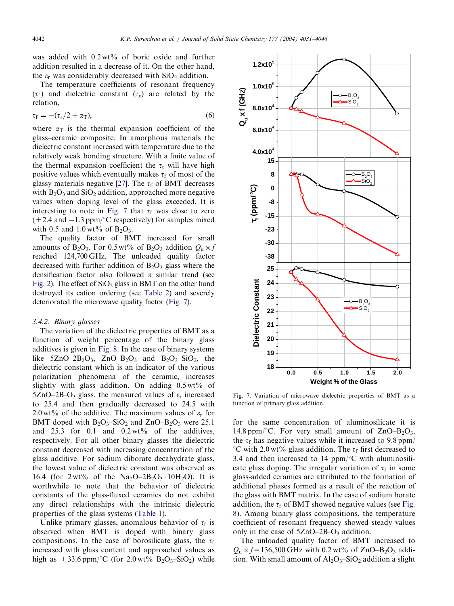<span id="page-11-0"></span>was added with  $0.2 wt\%$  of boric oxide and further addition resulted in a decrease of it. On the other hand, the  $\varepsilon_r$  was considerably decreased with  $SiO<sub>2</sub>$  addition.

The temperature coefficients of resonant frequency  $(\tau_f)$  and dielectric constant  $(\tau_g)$  are related by the relation,

$$
\tau_{\rm f} = -(\tau_{\rm \varepsilon}/2 + \alpha_{\rm T}), \qquad \qquad (6)
$$

where  $\alpha_T$  is the thermal expansion coefficient of the glass–ceramic composite. In amorphous materials the dielectric constant increased with temperature due to the relatively weak bonding structure. With a finite value of the thermal expansion coefficient the  $\tau_{\varepsilon}$  will have high positive values which eventually makes  $\tau_f$  of most of the glassy materials negative [\[27\]](#page-15-0). The  $\tau_f$  of BMT decreases with  $B_2O_3$  and  $SiO_2$  addition, approached more negative values when doping level of the glass exceeded. It is interesting to note in Fig. 7 that  $\tau_f$  was close to zero  $(+ 2.4$  and  $-1.3$  ppm/°C respectively) for samples mixed with 0.5 and 1.0 wt% of  $B_2O_3$ .

The quality factor of BMT increased for small amounts of B<sub>2</sub>O<sub>3</sub>. For 0.5 wt% of B<sub>2</sub>O<sub>3</sub> addition  $Q_n \times f$ reached 124,700 GHz. The unloaded quality factor decreased with further addition of  $B_2O_3$  glass where the densification factor also followed a similar trend (see [Fig. 2](#page-6-0)). The effect of  $SiO<sub>2</sub>$  glass in BMT on the other hand destroyed its cation ordering (see [Table 2\)](#page-4-0) and severely deteriorated the microwave quality factor (Fig. 7).

# 3.4.2. Binary glasses

The variation of the dielectric properties of BMT as a function of weight percentage of the binary glass additives is given in [Fig. 8.](#page-12-0) In the case of binary systems like  $5ZnO-2B_2O_3$ ,  $ZnO-B_2O_3$  and  $B_2O_3-SiO_2$ , the dielectric constant which is an indicator of the various polarization phenomena of the ceramic, increases slightly with glass addition. On adding  $0.5 \text{ wt} \%$  of 5ZnO–2B<sub>2</sub>O<sub>3</sub> glass, the measured values of  $\varepsilon_r$  increased to 25.4 and then gradually decreased to 24.5 with 2.0 wt% of the additive. The maximum values of  $\varepsilon_r$  for BMT doped with  $B_2O_3-SiO_2$  and  $ZnO-B_2O_3$  were 25.1 and  $25.3$  for 0.1 and  $0.2 \text{ wt\%}$  of the additives, respectively. For all other binary glasses the dielectric constant decreased with increasing concentration of the glass additive. For sodium diborate decahydrate glass, the lowest value of dielectric constant was observed as 16.4 (for  $2 \text{ wt\%}$  of the Na<sub>2</sub>O–2B<sub>2</sub>O<sub>3</sub> · 10H<sub>2</sub>O). It is worthwhile to note that the behavior of dielectric constants of the glass-fluxed ceramics do not exhibit any direct relationships with the intrinsic dielectric properties of the glass systems [\(Table 1\)](#page-2-0).

Unlike primary glasses, anomalous behavior of  $\tau_f$  is observed when BMT is doped with binary glass compositions. In the case of borosilicate glass, the  $\tau_f$ increased with glass content and approached values as high as  $+33.6$  ppm/°C (for 2.0 wt% B<sub>2</sub>O<sub>3</sub>–SiO<sub>2</sub>) while



Fig. 7. Variation of microwave dielectric properties of BMT as a function of primary glass addition.

for the same concentration of aluminosilicate it is 14.8 ppm/ $\degree$ C. For very small amount of ZnO–B<sub>2</sub>O<sub>3</sub>, the  $\tau_f$  has negative values while it increased to 9.8 ppm/ °C with 2.0 wt% glass addition. The  $\tau_f$  first decreased to 3.4 and then increased to 14 ppm/ $\mathrm{C}$  with aluminosilicate glass doping. The irregular variation of  $\tau_f$  in some glass-added ceramics are attributed to the formation of additional phases formed as a result of the reaction of the glass with BMT matrix. In the case of sodium borate addition, the  $\tau_f$  of BMT showed negative values (see [Fig.](#page-12-0) [8\)](#page-12-0). Among binary glass compositions, the temperature coefficient of resonant frequency showed steady values only in the case of  $5ZnO-2B_2O_3$  addition.

The unloaded quality factor of BMT increased to  $Q_u \times f=136,500$  GHz with 0.2 wt% of ZnO–B<sub>2</sub>O<sub>3</sub> addition. With small amount of  $Al_2O_3-SiO_2$  addition a slight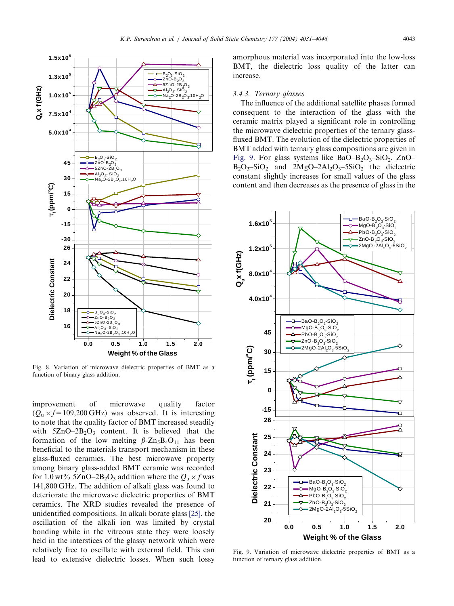

<span id="page-12-0"></span>

Fig. 8. Variation of microwave dielectric properties of BMT as a function of binary glass addition.

improvement of microwave quality factor  $(Q<sub>u</sub> \times f=109,200 \text{ GHz})$  was observed. It is interesting to note that the quality factor of BMT increased steadily with  $5ZnO-2B_2O_3$  content. It is believed that the formation of the low melting  $\beta$ -Zn<sub>5</sub>B<sub>4</sub>O<sub>11</sub> has been beneficial to the materials transport mechanism in these glass-fluxed ceramics. The best microwave property among binary glass-added BMT ceramic was recorded for 1.0 wt% 5ZnO–2B<sub>2</sub>O<sub>3</sub> addition where the  $Q_u \times f$  was 141,800 GHz. The addition of alkali glass was found to deteriorate the microwave dielectric properties of BMT ceramics. The XRD studies revealed the presence of unidentified compositions. In alkali borate glass [\[25\]](#page-15-0), the oscillation of the alkali ion was limited by crystal bonding while in the vitreous state they were loosely held in the interstices of the glassy network which were relatively free to oscillate with external field. This can lead to extensive dielectric losses. When such lossy

amorphous material was incorporated into the low-loss BMT, the dielectric loss quality of the latter can increase.

#### 3.4.3. Ternary glasses

The influence of the additional satellite phases formed consequent to the interaction of the glass with the ceramic matrix played a significant role in controlling the microwave dielectric properties of the ternary glassfluxed BMT. The evolution of the dielectric properties of BMT added with ternary glass compositions are given in Fig. 9. For glass systems like BaO–B<sub>2</sub>O<sub>3</sub>–SiO<sub>2</sub>, ZnO–  $B_2O_3-SiO_2$  and  $2MgO-2Al_2O_3-SiO_2$  the dielectric constant slightly increases for small values of the glass content and then decreases as the presence of glass in the



Fig. 9. Variation of microwave dielectric properties of BMT as a function of ternary glass addition.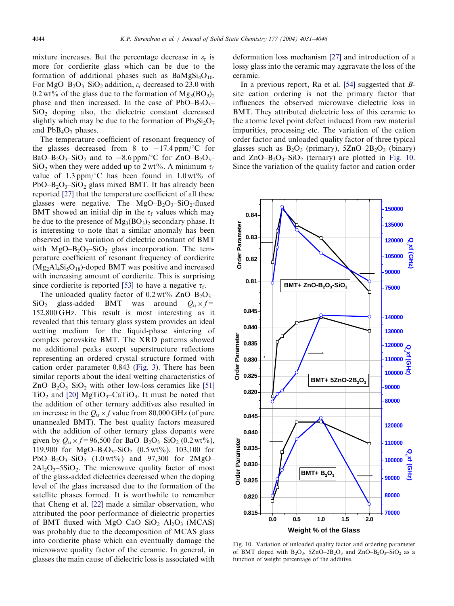mixture increases. But the percentage decrease in  $\varepsilon_r$  is more for cordierite glass which can be due to the formation of additional phases such as  $BaMgSi<sub>4</sub>O<sub>10</sub>$ . For MgO–B<sub>2</sub>O<sub>3</sub>–SiO<sub>2</sub> addition,  $\varepsilon$ <sub>r</sub> decreased to 23.0 with 0.2 wt% of the glass due to the formation of  $Mg_3(BO_3)_2$ phase and then increased. In the case of  $PbO-B_2O_3$ - $SiO<sub>2</sub>$  doping also, the dielectric constant decreased slightly which may be due to the formation of  $Pb_5Si_2O_7$ and  $PbB_4O_7$  phases.

The temperature coefficient of resonant frequency of the glasses decreased from 8 to  $-17.4$  ppm/ $\mathrm{^{\circ}C}$  for BaO–B<sub>2</sub>O<sub>3</sub>–SiO<sub>2</sub> and to –8.6 ppm/°C for ZnO–B<sub>2</sub>O<sub>3</sub>– SiO<sub>2</sub> when they were added up to 2 wt%. A minimum  $\tau_f$ value of 1.3 ppm/ $\degree$ C has been found in 1.0 wt% of  $PbO-B<sub>2</sub>O<sub>3</sub>$ –SiO<sub>2</sub> glass mixed BMT. It has already been reported [\[27\]](#page-15-0) that the temperature coefficient of all these glasses were negative. The  $MgO-B_2O_3-SiO_2$ -fluxed BMT showed an initial dip in the  $\tau_f$  values which may be due to the presence of  $Mg_3(BO_3)$  secondary phase. It is interesting to note that a similar anomaly has been observed in the variation of dielectric constant of BMT with  $MgO-B_2O_3-SiO_2$  glass incorporation. The temperature coefficient of resonant frequency of cordierite  $(Mg_2Al_4Si_5O_{18})$ -doped BMT was positive and increased with increasing amount of cordierite. This is surprising since cordierite is reported [\[53\]](#page-15-0) to have a negative  $\tau_f$ .

The unloaded quality factor of  $0.2 \text{ wt\% ZnO} - B_2O_3$ SiO<sub>2</sub> glass-added BMT was around  $Q_{\text{n}} \times f$ = 152,800 GHz. This result is most interesting as it revealed that this ternary glass system provides an ideal wetting medium for the liquid-phase sintering of complex perovskite BMT. The XRD patterns showed no additional peaks except superstructure reflections representing an ordered crystal structure formed with cation order parameter 0.843 [\(Fig. 3](#page-7-0)). There has been similar reports about the ideal wetting characteristics of  $ZnO-B<sub>2</sub>O<sub>3</sub>$ –SiO<sub>2</sub> with other low-loss ceramics like [\[51\]](#page-15-0)  $TiO<sub>2</sub>$  and [\[20\]](#page-15-0) MgTiO<sub>3</sub>–CaTiO<sub>3</sub>. It must be noted that the addition of other ternary additives also resulted in an increase in the  $Q_u \times f$  value from 80,000 GHz (of pure unannealed BMT). The best quality factors measured with the addition of other ternary glass dopants were given by  $Q_u \times f = 96,500$  for BaO–B<sub>2</sub>O<sub>3</sub>–SiO<sub>2</sub> (0.2 wt%), 119,900 for  $MgO-B_2O_3-SiO_2$  (0.5 wt%), 103,100 for PbO–B<sub>2</sub>O<sub>3</sub>–SiO<sub>2</sub> (1.0 wt%) and 97,300 for 2MgO–  $2Al_2O_3 - 5SiO_2$ . The microwave quality factor of most of the glass-added dielectrics decreased when the doping level of the glass increased due to the formation of the satellite phases formed. It is worthwhile to remember that Cheng et al. [\[22\]](#page-15-0) made a similar observation, who attributed the poor performance of dielectric properties of BMT fluxed with MgO–CaO–SiO<sub>2</sub>–Al<sub>2</sub>O<sub>3</sub> (MCAS) was probably due to the decomposition of MCAS glass into cordierite phase which can eventually damage the microwave quality factor of the ceramic. In general, in glasses the main cause of dielectric loss is associated with

deformation loss mechanism [\[27\]](#page-15-0) and introduction of a lossy glass into the ceramic may aggravate the loss of the ceramic.

In a previous report, Ra et al. [\[54\]](#page-15-0) suggested that Bsite cation ordering is not the primary factor that influences the observed microwave dielectric loss in BMT. They attributed dielectric loss of this ceramic to the atomic level point defect induced from raw material impurities, processing etc. The variation of the cation order factor and unloaded quality factor of three typical glasses such as  $B_2O_3$  (primary),  $5ZnO-2B_2O_3$  (binary) and  $ZnO-B<sub>2</sub>O<sub>3</sub>-SiO<sub>2</sub>$  (ternary) are plotted in Fig. 10. Since the variation of the quality factor and cation order



Fig. 10. Variation of unloaded quality factor and ordering parameter of BMT doped with  $B_2O_3$ ,  $5ZnO-2B_2O_3$  and  $ZnO-B_2O_3-SiO_2$  as a function of weight percentage of the additive.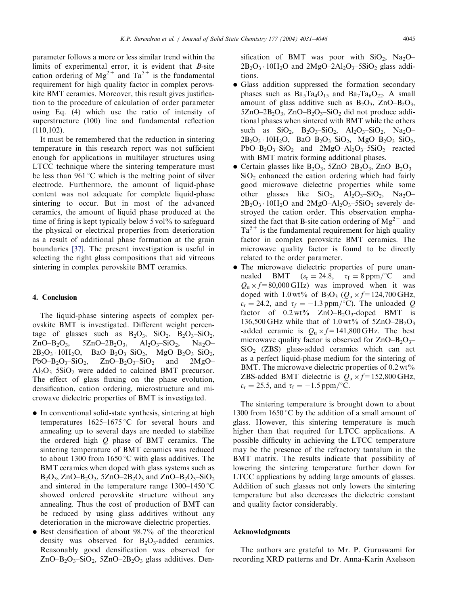parameter follows a more or less similar trend within the limits of experimental error, it is evident that B-site cation ordering of  $Mg^{2+}$  and  $Ta^{5+}$  is the fundamental requirement for high quality factor in complex perovskite BMT ceramics. Moreover, this result gives justification to the procedure of calculation of order parameter using Eq. (4) which use the ratio of intensity of superstructure (100) line and fundamental reflection (110,102).

It must be remembered that the reduction in sintering temperature in this research report was not sufficient enough for applications in multilayer structures using LTCC technique where the sintering temperature must be less than 961  $\degree$ C which is the melting point of silver electrode. Furthermore, the amount of liquid-phase content was not adequate for complete liquid-phase sintering to occur. But in most of the advanced ceramics, the amount of liquid phase produced at the time of firing is kept typically below 5 vol<sup>%</sup> to safeguard the physical or electrical properties from deterioration as a result of additional phase formation at the grain boundaries [\[37\].](#page-15-0) The present investigation is useful in selecting the right glass compositions that aid vitreous sintering in complex perovskite BMT ceramics.

# 4. Conclusion

The liquid-phase sintering aspects of complex perovskite BMT is investigated. Different weight percentage of glasses such as  $B_2O_3$ ,  $SiO_2$ ,  $B_2O_3-SiO_2$ ,  $ZnO-B_2O_3$ ,  $5ZnO-2B_2O_3$ ,  $Al_2O_3-SiO_2$ ,  $Na_2O 2B_2O_3 \cdot 10H_2O$ ,  $BaO-B_2O_3-SiO_2$ ,  $MgO-B_2O_3-SiO_2$ ,  $PbO-B_2O_3-SiO_2$ ,  $ZnO-B_2O_3-SiO_2$  and  $2MgO-A_2$  $Al_2O_3$ –5SiO<sub>2</sub> were added to calcined BMT precursor. The effect of glass fluxing on the phase evolution, densification, cation ordering, microstructure and microwave dielectric properties of BMT is investigated.

- In conventional solid-state synthesis, sintering at high temperatures  $1625-1675$  °C for several hours and annealing up to several days are needed to stabilize the ordered high  $Q$  phase of BMT ceramics. The sintering temperature of BMT ceramics was reduced to about 1300 from 1650  $\degree$ C with glass additives. The BMT ceramics when doped with glass systems such as  $B_2O_3$ , ZnO– $B_2O_3$ , 5ZnO–2B<sub>2</sub>O<sub>3</sub> and ZnO–B<sub>2</sub>O<sub>3</sub>–SiO<sub>2</sub> and sintered in the temperature range  $1300-1450^{\circ}$ C showed ordered perovskite structure without any annealing. Thus the cost of production of BMT can be reduced by using glass additives without any deterioration in the microwave dielectric properties.
- Best densification of about 98.7% of the theoretical density was observed for  $B_2O_3$ -added ceramics. Reasonably good densification was observed for  $ZnO-B_2O_3-SiO_2$ , 5 $ZnO-2B_2O_3$  glass additives. Den-

sification of BMT was poor with  $SiO_2$ , Na<sub>2</sub>O–  $2B_2O_3 \cdot 10H_2O$  and  $2MgO-2Al_2O_3-5SiO_2$  glass additions.

- Glass addition suppressed the formation secondary phases such as  $Ba<sub>5</sub>Ta<sub>4</sub>O<sub>15</sub>$  and  $Ba<sub>7</sub>Ta<sub>6</sub>O<sub>22</sub>$ . A small amount of glass additive such as  $B_2O_3$ , ZnO– $B_2O_3$ ,  $5ZnO-2B_2O_3$ ,  $ZnO-B_2O_3-SiO_2$  did not produce additional phases when sintered with BMT while the others such as  $SiO_2$ ,  $B_2O_3-SiO_2$ ,  $Al_2O_3-SiO_2$ ,  $Na_2O 2B_2O_3 \cdot 10H_2O$ ,  $BaO-B_2O_3-SiO_2$ ,  $MgO-B_2O_3-SiO_2$ ,  $PbO-B_2O_3-SiO_2$  and  $2MgO-Al_2O_3-SiO_2$  reacted with BMT matrix forming additional phases.
- Certain glasses like  $B_2O_3$ , 5ZnO–2B<sub>2</sub>O<sub>3</sub>, ZnO–B<sub>2</sub>O<sub>3</sub>–  $SiO<sub>2</sub>$  enhanced the cation ordering which had fairly good microwave dielectric properties while some other glasses like  $SiO_2$ ,  $Al_2O_3-SiO_2$ ,  $Na_2O 2B_2O_3 \cdot 10H_2O$  and  $2MgO-Al_2O_3-SSiO_2$  severely destroyed the cation order. This observation emphasized the fact that B-site cation ordering of  $Mg^{2+}$  and  $Ta^{5+}$  is the fundamental requirement for high quality factor in complex perovskite BMT ceramics. The microwave quality factor is found to be directly related to the order parameter.
- The microwave dielectric properties of pure unannealed BMT  $(\varepsilon_r = 24.8, \tau_f = 8 \text{ ppm}/^{\circ}\text{C}$  and  $Q_u \times f = 80,000 \text{ GHz}$  was improved when it was doped with 1.0 wt% of  $B_2O_3$  ( $Q_u \times f = 124,700$  GHz,  $\varepsilon_r = 24.2$ , and  $\tau_f = -1.3$  ppm/°C). The unloaded Q factor of  $0.2 \text{ wt\%}$  ZnO–B<sub>2</sub>O<sub>3</sub>-doped BMT is 136,500 GHz while that of 1.0 wt% of  $5ZnO-2B_2O_3$ -added ceramic is  $Q_u \times f = 141,800 \text{ GHz}$ . The best microwave quality factor is observed for  $ZnO-B_2O_3$  $SiO<sub>2</sub>$  (ZBS) glass-added ceramics which can act as a perfect liquid-phase medium for the sintering of BMT. The microwave dielectric properties of 0.2 wt% ZBS-added BMT dielectric is  $Q_u \times f = 152,800 \text{ GHz}$ ,  $\varepsilon_{\rm r} = 25.5$ , and  $\tau_{\rm f} = -1.5$  ppm/°C.

The sintering temperature is brought down to about 1300 from 1650 °C by the addition of a small amount of glass. However, this sintering temperature is much higher than that required for LTCC applications. A possible difficulty in achieving the LTCC temperature may be the presence of the refractory tantalum in the BMT matrix. The results indicate that possibility of lowering the sintering temperature further down for LTCC applications by adding large amounts of glasses. Addition of such glasses not only lowers the sintering temperature but also decreases the dielectric constant and quality factor considerably.

# Acknowledgments

The authors are grateful to Mr. P. Guruswami for recording XRD patterns and Dr. Anna-Karin Axelsson